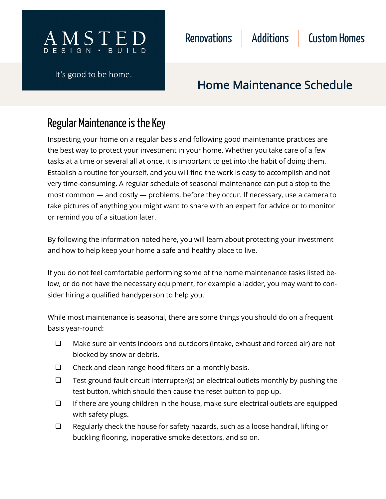

It's good to be home.



# Regular Maintenance is the Key

Inspecting your home on a regular basis and following good maintenance practices are the best way to protect your investment in your home. Whether you take care of a few tasks at a time or several all at once, it is important to get into the habit of doing them. Establish a routine for yourself, and you will find the work is easy to accomplish and not very time-consuming. A regular schedule of seasonal maintenance can put a stop to the most common — and costly — problems, before they occur. If necessary, use a camera to take pictures of anything you might want to share with an expert for advice or to monitor or remind you of a situation later.

By following the information noted here, you will learn about protecting your investment and how to help keep your home a safe and healthy place to live.

If you do not feel comfortable performing some of the home maintenance tasks listed below, or do not have the necessary equipment, for example a ladder, you may want to consider hiring a qualified handyperson to help you.

While most maintenance is seasonal, there are some things you should do on a frequent basis year-round:

- Make sure air vents indoors and outdoors (intake, exhaust and forced air) are not blocked by snow or debris.  $\Box$
- $\Box$  Check and clean range hood filters on a monthly basis.
- Test ground fault circuit interrupter(s) on electrical outlets monthly by pushing the test button, which should then cause the reset button to pop up.  $\Box$
- If there are young children in the house, make sure electrical outlets are equipped with safety plugs.  $\Box$
- Regularly check the house for safety hazards, such as a loose handrail, lifting or buckling flooring, inoperative smoke detectors, and so on.  $\Box$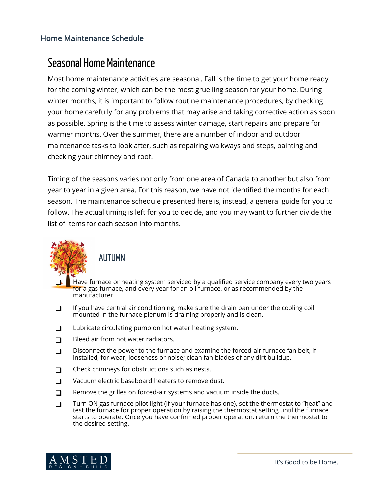## Seasonal Home Maintenance

Most home maintenance activities are seasonal. Fall is the time to get your home ready for the coming winter, which can be the most gruelling season for your home. During winter months, it is important to follow routine maintenance procedures, by checking your home carefully for any problems that may arise and taking corrective action as soon as possible. Spring is the time to assess winter damage, start repairs and prepare for warmer months. Over the summer, there are a number of indoor and outdoor maintenance tasks to look after, such as repairing walkways and steps, painting and checking your chimney and roof.

Timing of the seasons varies not only from one area of Canada to another but also from year to year in a given area. For this reason, we have not identified the months for each season. The maintenance schedule presented here is, instead, a general guide for you to follow. The actual timing is left for you to decide, and you may want to further divide the list of items for each season into months.



### **AUTUMN**

- Have furnace or heating system serviced by a qualified service company every two years for a gas furnace, and every year for an oil furnace, or as recommended by the manufacturer.
- $\Box$  If you have central air conditioning, make sure the drain pan under the cooling coil mounted in the furnace plenum is draining properly and is clean.
- □ Lubricate circulating pump on hot water heating system.
- $\Box$  Bleed air from hot water radiators.
- $\Box$  Disconnect the power to the furnace and examine the forced-air furnace fan belt, if installed, for wear, looseness or noise; clean fan blades of any dirt buildup.
- $\Box$  Check chimneys for obstructions such as nests.
- $\Box$  Vacuum electric baseboard heaters to remove dust.
- $\Box$  Remove the grilles on forced-air systems and vacuum inside the ducts.
- Turn ON gas furnace pilot light (if your furnace has one), set the thermostat to "heat" and test the furnace for proper operation by raising the thermostat setting until the furnace starts to operate. Once you have confirmed proper operation, return the thermostat to the desired setting.

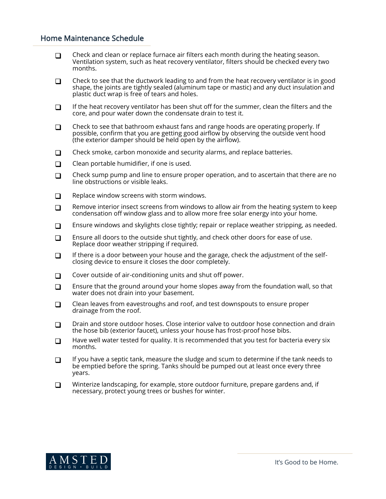- $\Box$  Check and clean or replace furnace air filters each month during the heating season. Ventilation system, such as heat recovery ventilator, filters should be checked every two months.
- $\Box$  Check to see that the ductwork leading to and from the heat recovery ventilator is in good shape, the joints are tightly sealed (aluminum tape or mastic) and any duct insulation and plastic duct wrap is free of tears and holes.
- $\Box$  If the heat recovery ventilator has been shut off for the summer, clean the filters and the core, and pour water down the condensate drain to test it.
- $\Box$  Check to see that bathroom exhaust fans and range hoods are operating properly. If possible, confirm that you are getting good airflow by observing the outside vent hood (the exterior damper should be held open by the airflow).
- $\Box$  Check smoke, carbon monoxide and security alarms, and replace batteries.
- $\Box$  Clean portable humidifier, if one is used.
- $\Box$  Check sump pump and line to ensure proper operation, and to ascertain that there are no line obstructions or visible leaks.
- $\Box$  Replace window screens with storm windows.
- **Remove interior insect screens from windows to allow air from the heating system to keep** condensation off window glass and to allow more free solar energy into your home.
- **Ensure windows and skylights close tightly; repair or replace weather stripping, as needed.**
- **Ensure all doors to the outside shut tightly, and check other doors for ease of use.** Replace door weather stripping if required.
- If there is a door between your house and the garage, check the adjustment of the selfclosing device to ensure it closes the door completely.
- $\Box$  Cover outside of air-conditioning units and shut off power.
- **Ensure that the ground around your home slopes away from the foundation wall, so that** water does not drain into your basement.
- $\Box$  Clean leaves from eavestroughs and roof, and test downspouts to ensure proper drainage from the roof.
- $\Box$  Drain and store outdoor hoses. Close interior valve to outdoor hose connection and drain the hose bib (exterior faucet), unless your house has frost-proof hose bibs.
- $\Box$  Have well water tested for quality. It is recommended that you test for bacteria every six months.
- $\Box$  If you have a septic tank, measure the sludge and scum to determine if the tank needs to be emptied before the spring. Tanks should be pumped out at least once every three years.
- **Winterize landscaping, for example, store outdoor furniture, prepare gardens and, if** necessary, protect young trees or bushes for winter.

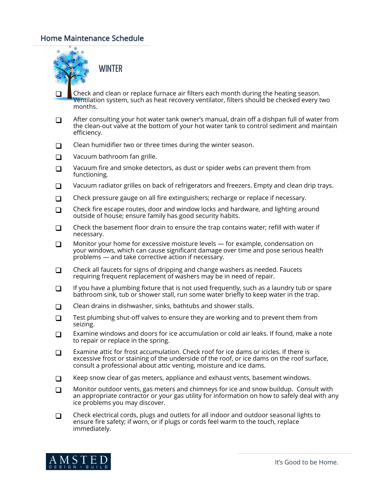

WINTER

- Check and clean or replace furnace air filters each month during the heating season. Ventilation system, such as heat recovery ventilator, filters should be checked every two months.  $\Box$
- After consulting your hot water tank owner's manual, drain off a dishpan full of water from the clean-out valve at the bottom of your hot water tank to control sediment and maintain efficiency.  $\Box$
- $\Box$  Clean humidifier two or three times during the winter season.
- □ Vacuum bathroom fan grille.
- $\Box$  Vacuum fire and smoke detectors, as dust or spider webs can prevent them from functioning.
- **D** Vacuum radiator grilles on back of refrigerators and freezers. Empty and clean drip trays.
- $\Box$  Check pressure gauge on all fire extinguishers; recharge or replace if necessary.
- Check fire escape routes, door and window locks and hardware, and lighting around outside of house; ensure family has good security habits.  $\Box$
- Check the basement floor drain to ensure the trap contains water; refill with water if necessary.  $\Box$
- Monitor your home for excessive moisture levels for example, condensation on your windows, which can cause significant damage over time and pose serious health problems — and take corrective action if necessary. **□**
- Check all faucets for signs of dripping and change washers as needed. Faucets requiring frequent replacement of washers may be in need of repair.  $\Box$
- If you have a plumbing fixture that is not used frequently, such as a laundry tub or spare bathroom sink, tub or shower stall, run some water briefly to keep water in the trap.  $\Box$
- $\Box$  Clean drains in dishwasher, sinks, bathtubs and shower stalls.
- Test plumbing shut-off valves to ensure they are working and to prevent them from seizing.  $\Box$
- Examine windows and doors for ice accumulation or cold air leaks. If found, make a note to repair or replace in the spring. □
- Examine attic for frost accumulation. Check roof for ice dams or icicles. If there is excessive frost or staining of the underside of the roof, or ice dams on the roof surface, consult a professional about attic venting, moisture and ice dams.  $\Box$
- $\Box$  Keep snow clear of gas meters, appliance and exhaust vents, basement windows.
- Monitor outdoor vents, gas meters and chimneys for ice and snow buildup. Consult with an appropriate contractor or your gas utility for information on how to safely deal with any ice problems you may discover.  $\Box$
- Check electrical cords, plugs and outlets for all indoor and outdoor seasonal lights to ensure fire safety; if worn, or if plugs or cords feel warm to the touch, replace immediately.  $\Box$

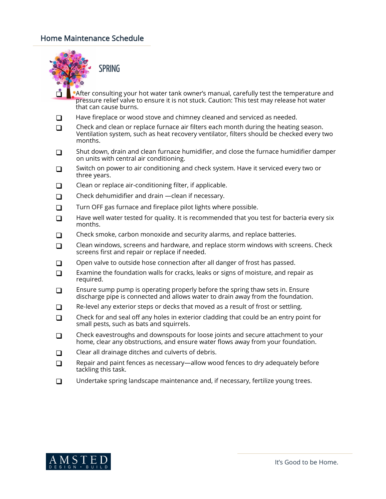

SPRING

- After consulting your hot water tank owner's manual, carefully test the temperature and pressure relief valve to ensure it is not stuck. Caution: This test may release hot water that can cause burns. ₫
- $\Box$  Have fireplace or wood stove and chimney cleaned and serviced as needed.
- $\Box$  Check and clean or replace furnace air filters each month during the heating season. Ventilation system, such as heat recovery ventilator, filters should be checked every two months.
- $\Box$  Shut down, drain and clean furnace humidifier, and close the furnace humidifier damper on units with central air conditioning.
- □ Switch on power to air conditioning and check system. Have it serviced every two or three years.
- $\Box$  Clean or replace air-conditioning filter, if applicable.
- $\Box$  Check dehumidifier and drain —clean if necessary.
- $\Box$  Turn OFF gas furnace and fireplace pilot lights where possible.
- $\Box$  Have well water tested for quality. It is recommended that you test for bacteria every six months.
- $\Box$  Check smoke, carbon monoxide and security alarms, and replace batteries.
- $\Box$  Clean windows, screens and hardware, and replace storm windows with screens. Check screens first and repair or replace if needed.
- $\Box$  Open valve to outside hose connection after all danger of frost has passed.
- **Examine the foundation walls for cracks, leaks or signs of moisture, and repair as** required.
- **Ensure sump pump is operating properly before the spring thaw sets in. Ensure** discharge pipe is connected and allows water to drain away from the foundation.
- $\Box$  Re-level any exterior steps or decks that moved as a result of frost or settling.
- $\Box$  Check for and seal off any holes in exterior cladding that could be an entry point for small pests, such as bats and squirrels.
- $\Box$  Check eavestroughs and downspouts for loose joints and secure attachment to your home, clear any obstructions, and ensure water flows away from your foundation.
- $\Box$  Clear all drainage ditches and culverts of debris.
- $\Box$  Repair and paint fences as necessary—allow wood fences to dry adequately before tackling this task.
- $\Box$  Undertake spring landscape maintenance and, if necessary, fertilize young trees.